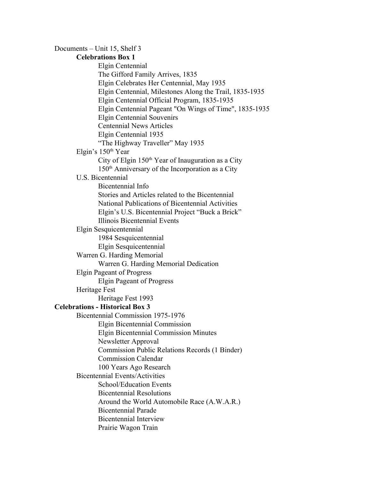Documents – Unit 15, Shelf 3 **Celebrations Box 1** Elgin Centennial The Gifford Family Arrives, 1835 Elgin Celebrates Her Centennial, May 1935 Elgin Centennial, Milestones Along the Trail, 1835-1935 Elgin Centennial Official Program, 1835-1935 Elgin Centennial Pageant "On Wings of Time", 1835-1935 Elgin Centennial Souvenirs Centennial News Articles Elgin Centennial 1935 "The Highway Traveller" May 1935 Elgin's 150<sup>th</sup> Year City of Elgin 150<sup>th</sup> Year of Inauguration as a City 150 th Anniversary of the Incorporation as a City U.S. Bicentennial Bicentennial Info Stories and Articles related to the Bicentennial National Publications of Bicentennial Activities Elgin's U.S. Bicentennial Project "Buck a Brick" Illinois Bicentennial Events Elgin Sesquicentennial 1984 Sesquicentennial Elgin Sesquicentennial Warren G. Harding Memorial Warren G. Harding Memorial Dedication Elgin Pageant of Progress Elgin Pageant of Progress Heritage Fest Heritage Fest 1993 **Celebrations Historical Box 3** Bicentennial Commission 1975-1976 Elgin Bicentennial Commission Elgin Bicentennial Commission Minutes Newsletter Approval Commission Public Relations Records (1 Binder) Commission Calendar 100 Years Ago Research Bicentennial Events/Activities School/Education Events Bicentennial Resolutions Around the World Automobile Race (A.W.A.R.) Bicentennial Parade Bicentennial Interview Prairie Wagon Train